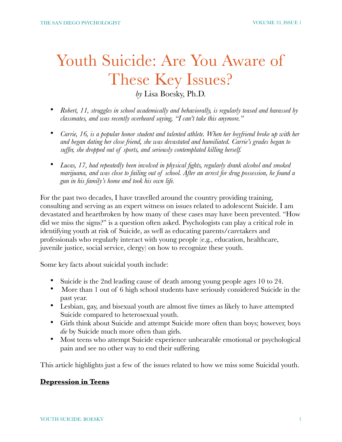# Youth Suicide: Are You Aware of These Key Issues?

*by* Lisa Boesky, Ph.D.

- *Robert, 11, struggles in school academically and behaviorally, is regularly teased and harassed by classmates, and was recently overheard saying, "I can't take this anymore."*
- *Carrie, 16, is a popular honor student and talented athlete. When her boyfriend broke up with her and began dating her close friend, she was devastated and humiliated. Carrie's grades began to suffer, she dropped out of sports, and seriously contemplated killing herself.*
- *Lucas, 17, had repeatedly been involved in physical fights, regularly drank alcohol and smoked marijuana, and was close to failing out of school. After an arrest for drug possession, he found a gun in his family's home and took his own life.*

For the past two decades, I have travelled around the country providing training, consulting and serving as an expert witness on issues related to adolescent Suicide. I am devastated and heartbroken by how many of these cases may have been prevented. "How did we miss the signs?" is a question often asked. Psychologists can play a critical role in identifying youth at risk of Suicide, as well as educating parents/caretakers and professionals who regularly interact with young people (e.g., education, healthcare, juvenile justice, social service, clergy) on how to recognize these youth.

Some key facts about suicidal youth include:

- Suicide is the 2nd leading cause of death among young people ages 10 to 24.
- More than 1 out of 6 high school students have seriously considered Suicide in the past year.
- Lesbian, gay, and bisexual youth are almost five times as likely to have attempted Suicide compared to heterosexual youth.
- Girls think about Suicide and attempt Suicide more often than boys; however, boys *die* by Suicide much more often than girls.
- Most teens who attempt Suicide experience unbearable emotional or psychological pain and see no other way to end their suffering.

This article highlights just a few of the issues related to how we miss some Suicidal youth.

#### **Depression in Teens**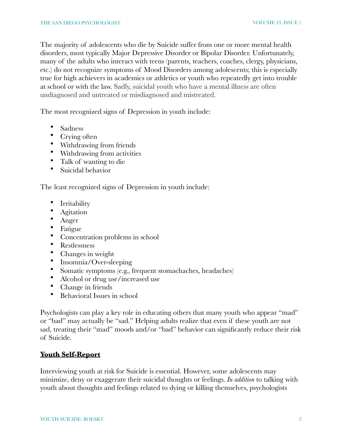The majority of adolescents who die by Suicide suffer from one or more mental health disorders, most typically Major Depressive Disorder or Bipolar Disorder. Unfortunately, many of the adults who interact with teens (parents, teachers, coaches, clergy, physicians, etc.) do not recognize symptoms of Mood Disorders among adolescents; this is especially true for high achievers in academics or athletics or youth who repeatedly get into trouble at school or with the law. Sadly, suicidal youth who have a mental illness are often undiagnosed and untreated or misdiagnosed and mistreated.

The most recognized signs of Depression in youth include:

- Sadness
- Crying often
- Withdrawing from friends
- Withdrawing from activities
- Talk of wanting to die
- Suicidal behavior

The least recognized signs of Depression in youth include:

- **Irritability**
- **Agitation**
- Anger
- Fatigue
- Concentration problems in school
- Restlessness
- Changes in weight
- Insomnia/Over-sleeping
- Somatic symptoms (e.g., frequent stomachaches, headaches)
- Alcohol or drug use/increased use
- Change in friends
- Behavioral Issues in school

Psychologists can play a key role in educating others that many youth who appear "mad" or "bad" may actually be "sad." Helping adults realize that even if these youth are not sad, treating their "mad" moods and/or "bad" behavior can significantly reduce their risk of Suicide.

### **Youth Self-Report**

Interviewing youth at risk for Suicide is essential. However, some adolescents may minimize, deny or exaggerate their suicidal thoughts or feelings. *In addition* to talking with youth about thoughts and feelings related to dying or killing themselves, psychologists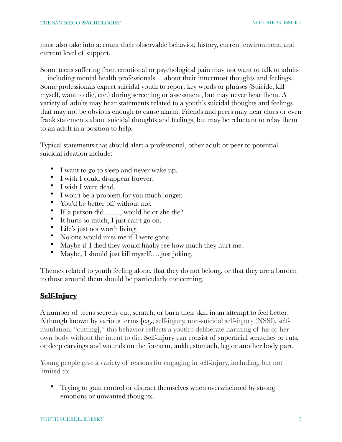must also take into account their observable behavior, history, current environment, and current level of support.

Some teens suffering from emotional or psychological pain may not want to talk to adults —including mental health professionals— about their innermost thoughts and feelings. Some professionals expect suicidal youth to report key words or phrases (Suicide, kill myself, want to die, etc.) during screening or assessment, but may never hear them. A variety of adults may hear statements related to a youth's suicidal thoughts and feelings that may not be obvious enough to cause alarm. Friends and peers may hear clues or even frank statements about suicidal thoughts and feelings, but may be reluctant to relay them to an adult in a position to help.

Typical statements that should alert a professional, other adult or peer to potential suicidal ideation include:

- I want to go to sleep and never wake up.
- I wish I could disappear forever.
- I wish I were dead.
- I won't be a problem for you much longer.
- You'd be better off without me.
- If a person did \_\_\_\_, would he or she die?
- It hurts so much, I just can't go on.
- Life's just not worth living.
- No one would miss me if I were gone.
- Maybe if I died they would finally see how much they hurt me.
- Maybe, I should just kill myself.....just joking.

Themes related to youth feeling alone, that they do not belong, or that they are a burden to those around them should be particularly concerning.

### **Self-Injury**

A number of teens secretly cut, scratch, or burn their skin in an attempt to feel better. Although known by various terms [e.g., self-injury, non-suicidal self-injury (NSSI), selfmutilation, "cutting]," this behavior reflects a youth's deliberate harming of his or her own body without the intent to die. Self-injury can consist of superficial scratches or cuts, or deep carvings and wounds on the forearm, ankle, stomach, leg or another body part.

Young people give a variety of reasons for engaging in self-injury, including, but not limited to:

• Trying to gain control or distract themselves when overwhelmed by strong emotions or unwanted thoughts.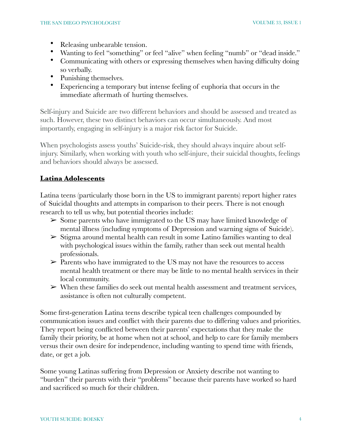- Releasing unbearable tension.
- Wanting to feel "something" or feel "alive" when feeling "numb" or "dead inside."
- Communicating with others or expressing themselves when having difficulty doing so verbally.
- Punishing themselves.
- Experiencing a temporary but intense feeling of euphoria that occurs in the immediate aftermath of hurting themselves.

Self-injury and Suicide are two different behaviors and should be assessed and treated as such. However, these two distinct behaviors can occur simultaneously. And most importantly, engaging in self-injury is a major risk factor for Suicide.

When psychologists assess youths' Suicide-risk, they should always inquire about selfinjury. Similarly, when working with youth who self-injure, their suicidal thoughts, feelings and behaviors should always be assessed.

# **Latina Adolescents**

Latina teens (particularly those born in the US to immigrant parents) report higher rates of Suicidal thoughts and attempts in comparison to their peers. There is not enough research to tell us why, but potential theories include:

- ➢ Some parents who have immigrated to the US may have limited knowledge of mental illness (including symptoms of Depression and warning signs of Suicide).
- $\triangleright$  Stigma around mental health can result in some Latino families wanting to deal with psychological issues within the family, rather than seek out mental health professionals.
- $\triangleright$  Parents who have immigrated to the US may not have the resources to access mental health treatment or there may be little to no mental health services in their local community.
- $\triangleright$  When these families do seek out mental health assessment and treatment services, assistance is often not culturally competent.

Some first-generation Latina teens describe typical teen challenges compounded by communication issues and conflict with their parents due to differing values and priorities. They report being conflicted between their parents' expectations that they make the family their priority, be at home when not at school, and help to care for family members versus their own desire for independence, including wanting to spend time with friends, date, or get a job.

Some young Latinas suffering from Depression or Anxiety describe not wanting to "burden" their parents with their "problems" because their parents have worked so hard and sacrificed so much for their children.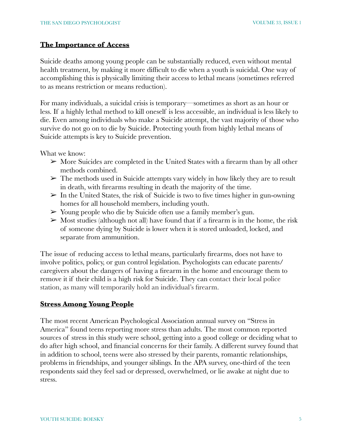#### **The Importance of Access**

Suicide deaths among young people can be substantially reduced, even without mental health treatment, by making it more difficult to die when a youth is suicidal. One way of accomplishing this is physically limiting their access to lethal means (sometimes referred to as means restriction or means reduction).

For many individuals, a suicidal crisis is temporary—sometimes as short as an hour or less. If a highly lethal method to kill oneself is less accessible, an individual is less likely to die. Even among individuals who make a Suicide attempt, the vast majority of those who survive do not go on to die by Suicide. Protecting youth from highly lethal means of Suicide attempts is key to Suicide prevention.

What we know:

- $\triangleright$  More Suicides are completed in the United States with a firearm than by all other methods combined.
- $\triangleright$  The methods used in Suicide attempts vary widely in how likely they are to result in death, with firearms resulting in death the majority of the time.
- $\triangleright$  In the United States, the risk of Suicide is two to five times higher in gun-owning homes for all household members, including youth.
- $\triangleright$  Young people who die by Suicide often use a family member's gun.
- $\triangleright$  Most studies (although not all) have found that if a firearm is in the home, the risk of someone dying by Suicide is lower when it is stored unloaded, locked, and separate from ammunition.

The issue of reducing access to lethal means, particularly firearms, does not have to involve politics, policy, or gun control legislation. Psychologists can educate parents/ caregivers about the dangers of having a firearm in the home and encourage them to remove it if their child is a high risk for Suicide. They can contact their local police station, as many will temporarily hold an individual's firearm.

#### **Stress Among Young People**

The most recent American Psychological Association annual survey on "Stress in America" found teens reporting more stress than adults. The most common reported sources of stress in this study were school, getting into a good college or deciding what to do after high school, and financial concerns for their family. A different survey found that in addition to school, teens were also stressed by their parents, romantic relationships, problems in friendships, and younger siblings. In the APA survey, one-third of the teen respondents said they feel sad or depressed, overwhelmed, or lie awake at night due to stress.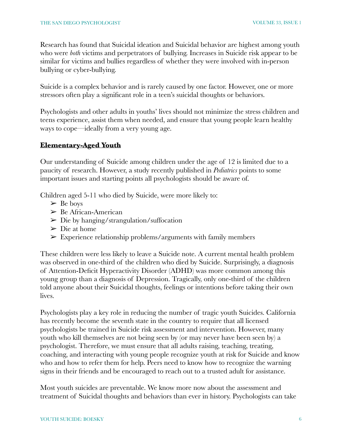Research has found that Suicidal ideation and Suicidal behavior are highest among youth who were *both* victims and perpetrators of bullying. Increases in Suicide risk appear to be similar for victims and bullies regardless of whether they were involved with in-person bullying or cyber-bullying.

Suicide is a complex behavior and is rarely caused by one factor. However, one or more stressors often play a significant role in a teen's suicidal thoughts or behaviors.

Psychologists and other adults in youths' lives should not minimize the stress children and teens experience, assist them when needed, and ensure that young people learn healthy ways to cope—ideally from a very young age.

## **Elementary-Aged Youth**

Our understanding of Suicide among children under the age of 12 is limited due to a paucity of research. However, a study recently published in *Pediatrics* points to some important issues and starting points all psychologists should be aware of.

Children aged 5-11 who died by Suicide, were more likely to:

- $\triangleright$  Be boys
- ➢ Be African-American
- $\triangleright$  Die by hanging/strangulation/suffocation
- $\triangleright$  Die at home
- $\triangleright$  Experience relationship problems/arguments with family members

These children were less likely to leave a Suicide note. A current mental health problem was observed in one-third of the children who died by Suicide. Surprisingly, a diagnosis of Attention-Deficit Hyperactivity Disorder (ADHD) was more common among this young group than a diagnosis of Depression. Tragically, only one-third of the children told anyone about their Suicidal thoughts, feelings or intentions before taking their own lives.

Psychologists play a key role in reducing the number of tragic youth Suicides. California has recently become the seventh state in the country to require that all licensed psychologists be trained in Suicide risk assessment and intervention. However, many youth who kill themselves are not being seen by (or may never have been seen by) a psychologist. Therefore, we must ensure that all adults raising, teaching, treating, coaching, and interacting with young people recognize youth at risk for Suicide and know who and how to refer them for help. Peers need to know how to recognize the warning signs in their friends and be encouraged to reach out to a trusted adult for assistance.

Most youth suicides are preventable. We know more now about the assessment and treatment of Suicidal thoughts and behaviors than ever in history. Psychologists can take